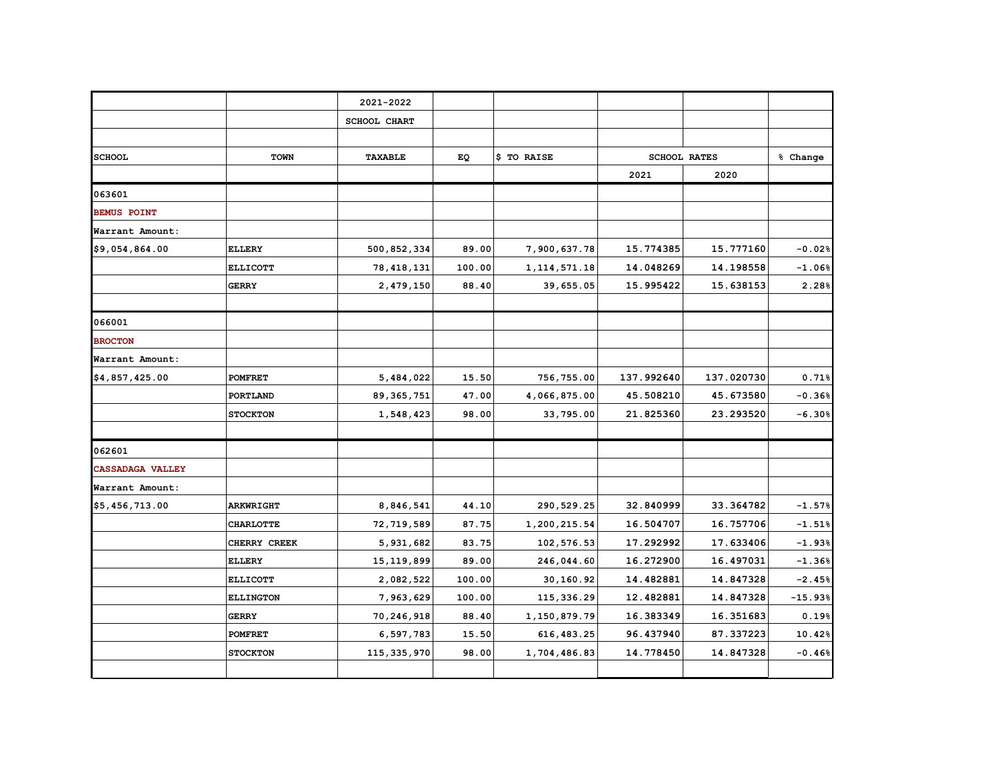|                    |                  | 2021-2022           |        |                 |            |                     |           |
|--------------------|------------------|---------------------|--------|-----------------|------------|---------------------|-----------|
|                    |                  | <b>SCHOOL CHART</b> |        |                 |            |                     |           |
|                    |                  |                     |        |                 |            |                     |           |
| <b>SCHOOL</b>      | <b>TOWN</b>      | <b>TAXABLE</b>      | EQ     | \$ TO RAISE     |            | <b>SCHOOL RATES</b> | % Change  |
|                    |                  |                     |        |                 | 2021       | 2020                |           |
| 063601             |                  |                     |        |                 |            |                     |           |
| <b>BEMUS POINT</b> |                  |                     |        |                 |            |                     |           |
| Warrant Amount:    |                  |                     |        |                 |            |                     |           |
| \$9,054,864.00     | <b>ELLERY</b>    | 500,852,334         | 89.00  | 7,900,637.78    | 15.774385  | 15.777160           | $-0.02%$  |
|                    | <b>ELLICOTT</b>  | 78, 418, 131        | 100.00 | 1, 114, 571. 18 | 14.048269  | 14.198558           | $-1.06%$  |
|                    | <b>GERRY</b>     | 2,479,150           | 88.40  | 39,655.05       | 15.995422  | 15.638153           | 2.28%     |
|                    |                  |                     |        |                 |            |                     |           |
| 066001             |                  |                     |        |                 |            |                     |           |
| <b>BROCTON</b>     |                  |                     |        |                 |            |                     |           |
| Warrant Amount:    |                  |                     |        |                 |            |                     |           |
| \$4,857,425.00     | <b>POMFRET</b>   | 5,484,022           | 15.50  | 756,755.00      | 137.992640 | 137.020730          | 0.71%     |
|                    | PORTLAND         | 89, 365, 751        | 47.00  | 4,066,875.00    | 45.508210  | 45.673580           | $-0.36%$  |
|                    | <b>STOCKTON</b>  | 1,548,423           | 98.00  | 33,795.00       | 21.825360  | 23.293520           | $-6.30%$  |
|                    |                  |                     |        |                 |            |                     |           |
| 062601             |                  |                     |        |                 |            |                     |           |
| CASSADAGA VALLEY   |                  |                     |        |                 |            |                     |           |
| Warrant Amount:    |                  |                     |        |                 |            |                     |           |
| \$5,456,713.00     | <b>ARKWRIGHT</b> | 8,846,541           | 44.10  | 290,529.25      | 32.840999  | 33.364782           | $-1.57%$  |
|                    | <b>CHARLOTTE</b> | 72,719,589          | 87.75  | 1,200,215.54    | 16.504707  | 16.757706           | $-1.51%$  |
|                    | CHERRY CREEK     | 5,931,682           | 83.75  | 102,576.53      | 17.292992  | 17.633406           | $-1.93%$  |
|                    | <b>ELLERY</b>    | 15, 119, 899        | 89.00  | 246,044.60      | 16.272900  | 16.497031           | $-1.36%$  |
|                    | <b>ELLICOTT</b>  | 2,082,522           | 100.00 | 30,160.92       | 14.482881  | 14.847328           | $-2.45%$  |
|                    | <b>ELLINGTON</b> | 7,963,629           | 100.00 | 115,336.29      | 12.482881  | 14.847328           | $-15.93%$ |
|                    | <b>GERRY</b>     | 70,246,918          | 88.40  | 1,150,879.79    | 16.383349  | 16.351683           | 0.19%     |
|                    | <b>POMFRET</b>   | 6,597,783           | 15.50  | 616,483.25      | 96.437940  | 87.337223           | 10.42%    |
|                    | <b>STOCKTON</b>  | 115, 335, 970       | 98.00  | 1,704,486.83    | 14.778450  | 14.847328           | $-0.46%$  |
|                    |                  |                     |        |                 |            |                     |           |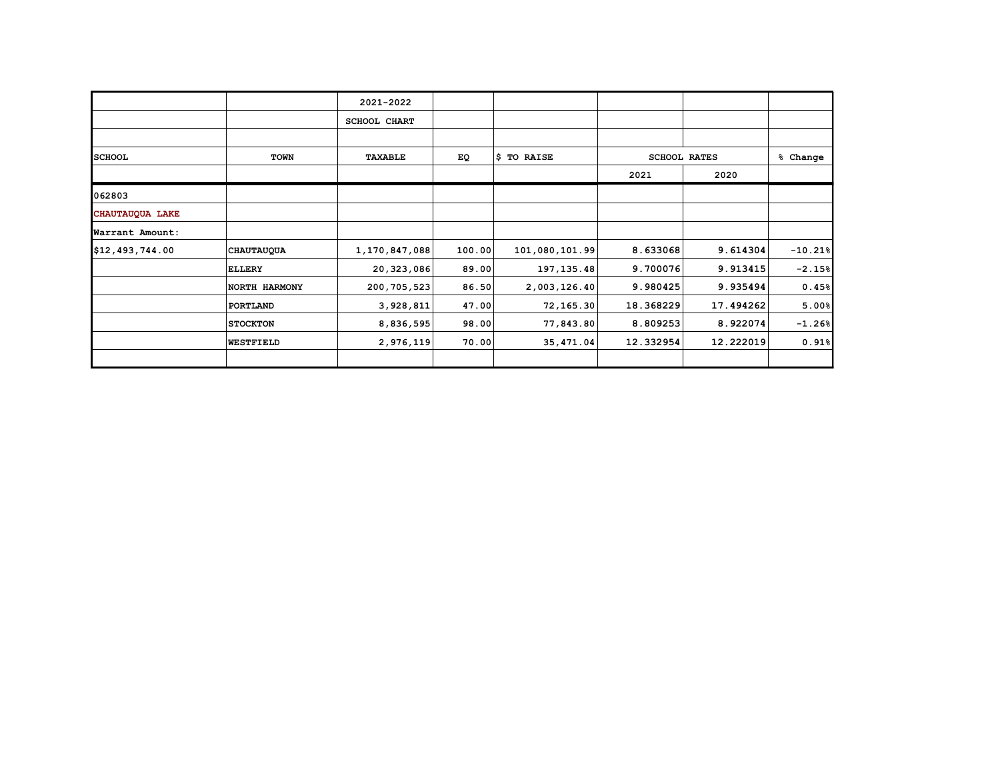|                 |                   | 2021-2022      |        |                |           |                     |           |
|-----------------|-------------------|----------------|--------|----------------|-----------|---------------------|-----------|
|                 |                   | SCHOOL CHART   |        |                |           |                     |           |
|                 |                   |                |        |                |           |                     |           |
| <b>SCHOOL</b>   | <b>TOWN</b>       | <b>TAXABLE</b> | EQ     | \$ TO RAISE    |           | <b>SCHOOL RATES</b> | % Change  |
|                 |                   |                |        |                | 2021      | 2020                |           |
| 062803          |                   |                |        |                |           |                     |           |
| CHAUTAUQUA LAKE |                   |                |        |                |           |                     |           |
| Warrant Amount: |                   |                |        |                |           |                     |           |
| \$12,493,744.00 | <b>CHAUTAUQUA</b> | 1,170,847,088  | 100.00 | 101,080,101.99 | 8.633068  | 9.614304            | $-10.21%$ |
|                 | <b>ELLERY</b>     | 20,323,086     | 89.00  | 197, 135.48    | 9.700076  | 9.913415            | $-2.15%$  |
|                 | NORTH HARMONY     | 200,705,523    | 86.50  | 2,003,126.40   | 9.980425  | 9.935494            | 0.45%     |
|                 | PORTLAND          | 3,928,811      | 47.00  | 72,165.30      | 18.368229 | 17.494262           | 5.00%     |
|                 | <b>STOCKTON</b>   | 8,836,595      | 98.00  | 77,843.80      | 8.809253  | 8.922074            | $-1.26%$  |
|                 | <b>WESTFIELD</b>  | 2,976,119      | 70.00  | 35,471.04      | 12.332954 | 12.222019           | 0.91%     |
|                 |                   |                |        |                |           |                     |           |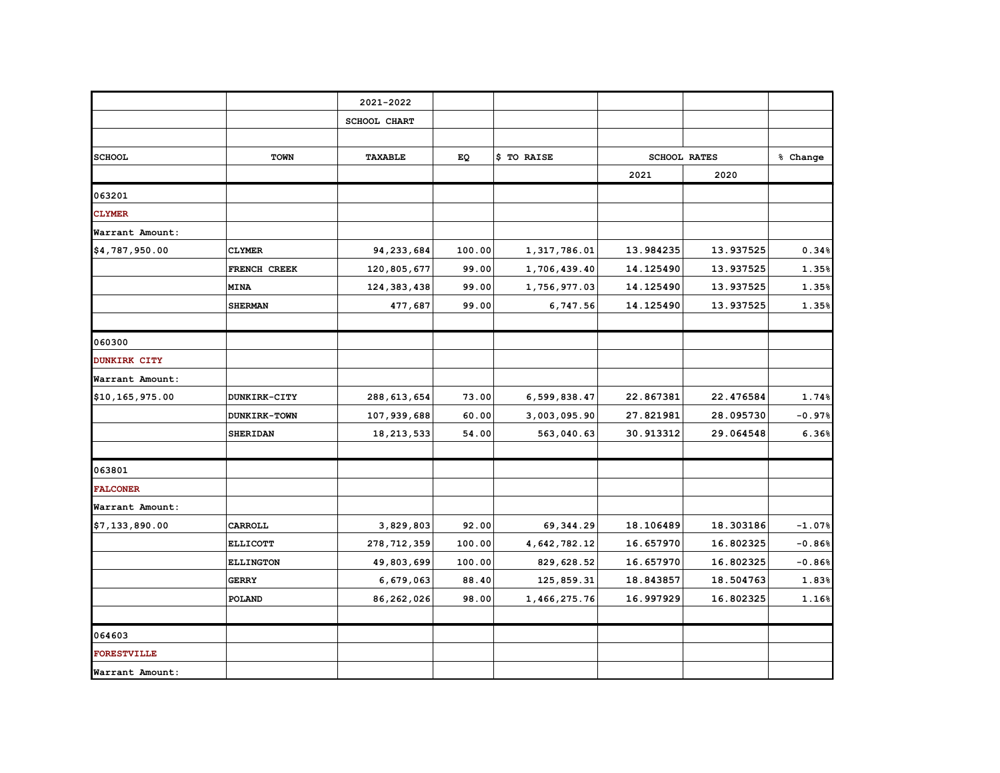|                     |                  | 2021-2022           |        |              |           |                     |          |
|---------------------|------------------|---------------------|--------|--------------|-----------|---------------------|----------|
|                     |                  | <b>SCHOOL CHART</b> |        |              |           |                     |          |
|                     |                  |                     |        |              |           |                     |          |
| <b>SCHOOL</b>       | <b>TOWN</b>      | <b>TAXABLE</b>      | EQ     | \$ TO RAISE  |           | <b>SCHOOL RATES</b> | % Change |
|                     |                  |                     |        |              | 2021      | 2020                |          |
| 063201              |                  |                     |        |              |           |                     |          |
| <b>CLYMER</b>       |                  |                     |        |              |           |                     |          |
| Warrant Amount:     |                  |                     |        |              |           |                     |          |
| \$4,787,950.00      | <b>CLYMER</b>    | 94,233,684          | 100.00 | 1,317,786.01 | 13.984235 | 13.937525           | 0.34%    |
|                     | FRENCH CREEK     | 120,805,677         | 99.00  | 1,706,439.40 | 14.125490 | 13.937525           | 1.35%    |
|                     | <b>MINA</b>      | 124, 383, 438       | 99.00  | 1,756,977.03 | 14.125490 | 13.937525           | 1.35%    |
|                     | <b>SHERMAN</b>   | 477,687             | 99.00  | 6,747.56     | 14.125490 | 13.937525           | 1.35%    |
|                     |                  |                     |        |              |           |                     |          |
| 060300              |                  |                     |        |              |           |                     |          |
| <b>DUNKIRK CITY</b> |                  |                     |        |              |           |                     |          |
| Warrant Amount:     |                  |                     |        |              |           |                     |          |
| \$10,165,975.00     | DUNKIRK-CITY     | 288, 613, 654       | 73.00  | 6,599,838.47 | 22.867381 | 22.476584           | 1.74%    |
|                     | DUNKIRK-TOWN     | 107,939,688         | 60.00  | 3,003,095.90 | 27.821981 | 28.095730           | $-0.97%$ |
|                     | <b>SHERIDAN</b>  | 18, 213, 533        | 54.00  | 563,040.63   | 30.913312 | 29.064548           | 6.36%    |
|                     |                  |                     |        |              |           |                     |          |
| 063801              |                  |                     |        |              |           |                     |          |
| <b>FALCONER</b>     |                  |                     |        |              |           |                     |          |
| Warrant Amount:     |                  |                     |        |              |           |                     |          |
| \$7,133,890.00      | CARROLL          | 3,829,803           | 92.00  | 69, 344.29   | 18.106489 | 18.303186           | $-1.07%$ |
|                     | <b>ELLICOTT</b>  | 278, 712, 359       | 100.00 | 4,642,782.12 | 16.657970 | 16.802325           | $-0.86%$ |
|                     | <b>ELLINGTON</b> | 49,803,699          | 100.00 | 829,628.52   | 16.657970 | 16.802325           | $-0.86%$ |
|                     | <b>GERRY</b>     | 6,679,063           | 88.40  | 125,859.31   | 18.843857 | 18.504763           | 1.83%    |
|                     | <b>POLAND</b>    | 86,262,026          | 98.00  | 1,466,275.76 | 16.997929 | 16.802325           | 1.16%    |
|                     |                  |                     |        |              |           |                     |          |
| 064603              |                  |                     |        |              |           |                     |          |
| <b>FORESTVILLE</b>  |                  |                     |        |              |           |                     |          |
| Warrant Amount:     |                  |                     |        |              |           |                     |          |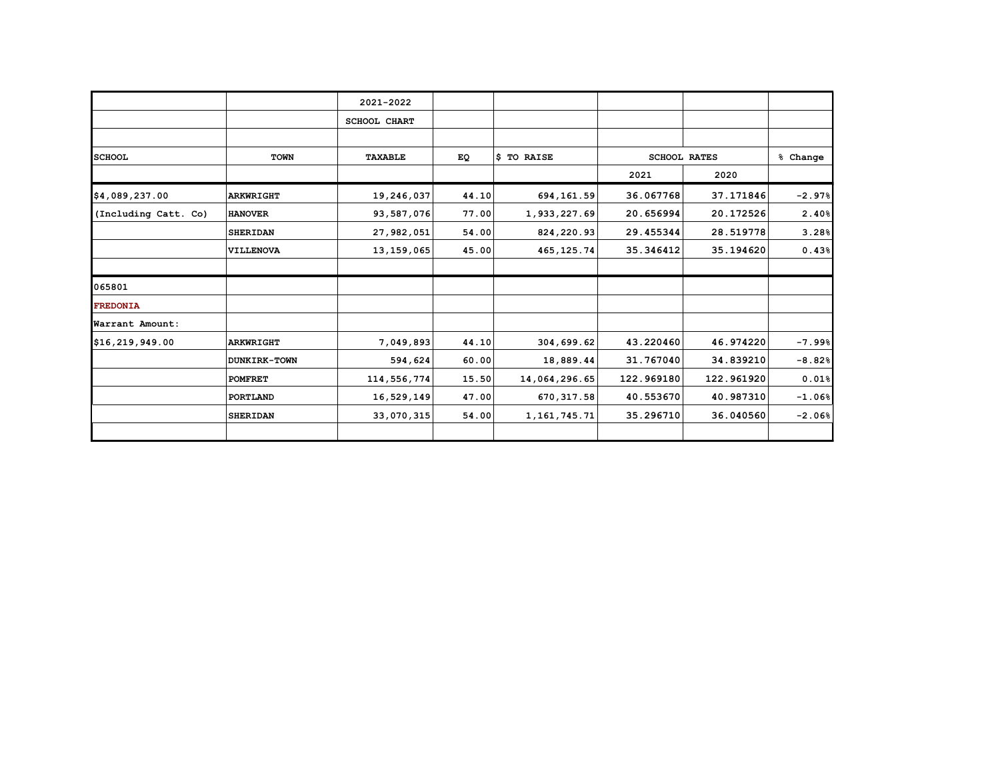|                      |                  | 2021-2022           |       |                 |                     |            |                     |
|----------------------|------------------|---------------------|-------|-----------------|---------------------|------------|---------------------|
|                      |                  | <b>SCHOOL CHART</b> |       |                 |                     |            |                     |
|                      |                  |                     |       |                 |                     |            |                     |
| <b>SCHOOL</b>        | <b>TOWN</b>      | TAXABLE             | EQ    | \$ TO RAISE     | <b>SCHOOL RATES</b> |            | % Change            |
|                      |                  |                     |       |                 | 2021                | 2020       |                     |
| \$4,089,237.00       | <b>ARKWRIGHT</b> | 19,246,037          | 44.10 | 694,161.59      | 36.067768           | 37.171846  | $-2.97%$            |
| (Including Catt. Co) | <b>HANOVER</b>   | 93,587,076          | 77.00 | 1,933,227.69    | 20.656994           | 20.172526  | 2.40%               |
|                      | <b>SHERIDAN</b>  | 27,982,051          | 54.00 | 824,220.93      | 29.455344           | 28.519778  | 3.28%               |
|                      | VILLENOVA        | 13, 159, 065        | 45.00 | 465, 125.74     | 35.346412           | 35.194620  | 0.43%               |
| 065801               |                  |                     |       |                 |                     |            |                     |
| <b>FREDONIA</b>      |                  |                     |       |                 |                     |            |                     |
| Warrant Amount:      |                  |                     |       |                 |                     |            |                     |
| \$16,219,949.00      | <b>ARKWRIGHT</b> | 7,049,893           | 44.10 | 304,699.62      | 43.220460           | 46.974220  | $-7.99%$            |
|                      | DUNKIRK-TOWN     | 594,624             | 60.00 | 18,889.44       | 31.767040           | 34.839210  | $-8.82%$            |
|                      | <b>POMFRET</b>   | 114,556,774         | 15.50 | 14,064,296.65   | 122.969180          | 122.961920 | $0.01$ <sup>8</sup> |
|                      | PORTLAND         | 16,529,149          | 47.00 | 670, 317.58     | 40.553670           | 40.987310  | $-1.06%$            |
|                      | <b>SHERIDAN</b>  | 33,070,315          | 54.00 | 1, 161, 745. 71 | 35.296710           | 36.040560  | $-2.06%$            |
|                      |                  |                     |       |                 |                     |            |                     |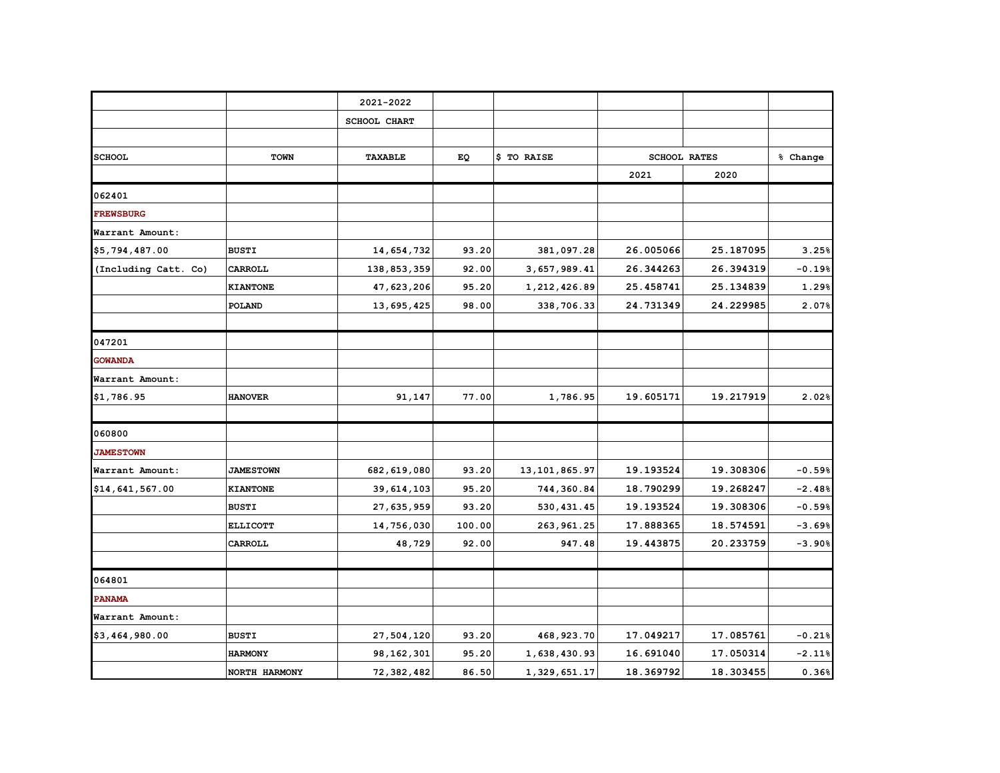|                      |                  | 2021-2022           |        |                 |           |                     |          |
|----------------------|------------------|---------------------|--------|-----------------|-----------|---------------------|----------|
|                      |                  | <b>SCHOOL CHART</b> |        |                 |           |                     |          |
|                      |                  |                     |        |                 |           |                     |          |
| <b>SCHOOL</b>        | TOWN             | <b>TAXABLE</b>      | EQ     | \$ TO RAISE     |           | <b>SCHOOL RATES</b> | % Change |
|                      |                  |                     |        |                 | 2021      | 2020                |          |
| 062401               |                  |                     |        |                 |           |                     |          |
| <b>FREWSBURG</b>     |                  |                     |        |                 |           |                     |          |
| Warrant Amount:      |                  |                     |        |                 |           |                     |          |
| \$5,794,487.00       | <b>BUSTI</b>     | 14,654,732          | 93.20  | 381,097.28      | 26.005066 | 25.187095           | 3.25%    |
| (Including Catt. Co) | CARROLL          | 138,853,359         | 92.00  | 3,657,989.41    | 26.344263 | 26.394319           | $-0.19%$ |
|                      | <b>KIANTONE</b>  | 47,623,206          | 95.20  | 1,212,426.89    | 25.458741 | 25.134839           | 1.29%    |
|                      | POLAND           | 13,695,425          | 98.00  | 338,706.33      | 24.731349 | 24.229985           | 2.07%    |
|                      |                  |                     |        |                 |           |                     |          |
| 047201               |                  |                     |        |                 |           |                     |          |
| <b>GOWANDA</b>       |                  |                     |        |                 |           |                     |          |
| Warrant Amount:      |                  |                     |        |                 |           |                     |          |
| \$1,786.95           | <b>HANOVER</b>   | 91,147              | 77.00  | 1,786.95        | 19.605171 | 19.217919           | 2.02%    |
|                      |                  |                     |        |                 |           |                     |          |
| 060800               |                  |                     |        |                 |           |                     |          |
| <b>JAMESTOWN</b>     |                  |                     |        |                 |           |                     |          |
| Warrant Amount:      | <b>JAMESTOWN</b> | 682, 619, 080       | 93.20  | 13, 101, 865.97 | 19.193524 | 19.308306           | $-0.59%$ |
| \$14,641,567.00      | <b>KIANTONE</b>  | 39,614,103          | 95.20  | 744,360.84      | 18.790299 | 19.268247           | $-2.48%$ |
|                      | <b>BUSTI</b>     | 27,635,959          | 93.20  | 530, 431.45     | 19.193524 | 19.308306           | $-0.59%$ |
|                      | <b>ELLICOTT</b>  | 14,756,030          | 100.00 | 263, 961.25     | 17.888365 | 18.574591           | $-3.69%$ |
|                      | CARROLL          | 48,729              | 92.00  | 947.48          | 19.443875 | 20.233759           | $-3.90%$ |
|                      |                  |                     |        |                 |           |                     |          |
| 064801               |                  |                     |        |                 |           |                     |          |
| <b>PANAMA</b>        |                  |                     |        |                 |           |                     |          |
| Warrant Amount:      |                  |                     |        |                 |           |                     |          |
| \$3,464,980.00       | <b>BUSTI</b>     | 27,504,120          | 93.20  | 468,923.70      | 17.049217 | 17.085761           | $-0.21%$ |
|                      | <b>HARMONY</b>   | 98,162,301          | 95.20  | 1,638,430.93    | 16.691040 | 17.050314           | $-2.11%$ |
|                      | NORTH HARMONY    | 72,382,482          | 86.50  | 1,329,651.17    | 18.369792 | 18.303455           | 0.36%    |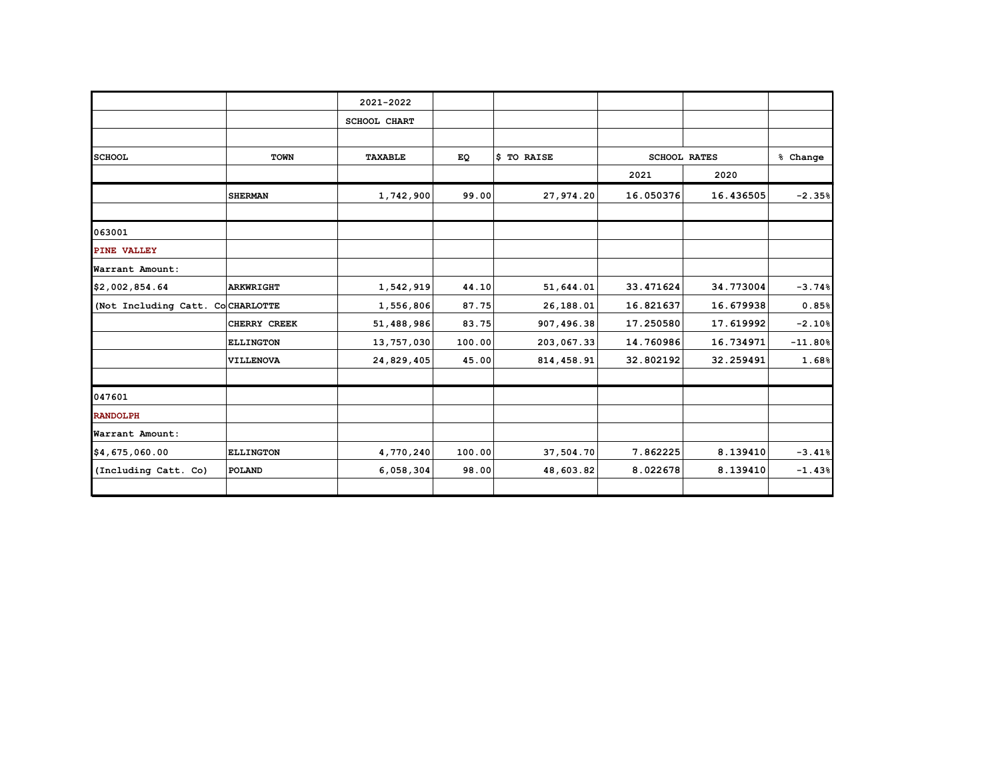|                                  |                  | 2021-2022      |        |             |           |                     |           |
|----------------------------------|------------------|----------------|--------|-------------|-----------|---------------------|-----------|
|                                  |                  | SCHOOL CHART   |        |             |           |                     |           |
|                                  |                  |                |        |             |           |                     |           |
| <b>SCHOOL</b>                    | <b>TOWN</b>      | <b>TAXABLE</b> | EQ     | \$ TO RAISE |           | <b>SCHOOL RATES</b> | % Change  |
|                                  |                  |                |        |             | 2021      | 2020                |           |
|                                  | <b>SHERMAN</b>   | 1,742,900      | 99.00  | 27,974.20   | 16.050376 | 16.436505           | $-2.35%$  |
|                                  |                  |                |        |             |           |                     |           |
| 063001                           |                  |                |        |             |           |                     |           |
| PINE VALLEY                      |                  |                |        |             |           |                     |           |
| Warrant Amount:                  |                  |                |        |             |           |                     |           |
| \$2,002,854.64                   | <b>ARKWRIGHT</b> | 1,542,919      | 44.10  | 51,644.01   | 33.471624 | 34.773004           | $-3.74%$  |
| (Not Including Catt. CoCHARLOTTE |                  | 1,556,806      | 87.75  | 26,188.01   | 16.821637 | 16.679938           | 0.85%     |
|                                  | CHERRY CREEK     | 51,488,986     | 83.75  | 907,496.38  | 17.250580 | 17.619992           | $-2.10%$  |
|                                  | <b>ELLINGTON</b> | 13,757,030     | 100.00 | 203,067.33  | 14.760986 | 16.734971           | $-11.80%$ |
|                                  | VILLENOVA        | 24,829,405     | 45.00  | 814,458.91  | 32.802192 | 32.259491           | 1.68%     |
|                                  |                  |                |        |             |           |                     |           |
| 047601                           |                  |                |        |             |           |                     |           |
| <b>RANDOLPH</b>                  |                  |                |        |             |           |                     |           |
| Warrant Amount:                  |                  |                |        |             |           |                     |           |
| \$4,675,060.00                   | <b>ELLINGTON</b> | 4,770,240      | 100.00 | 37,504.70   | 7.862225  | 8.139410            | $-3.41%$  |
| (Including Catt. Co)             | POLAND           | 6,058,304      | 98.00  | 48,603.82   | 8.022678  | 8.139410            | $-1.43%$  |
|                                  |                  |                |        |             |           |                     |           |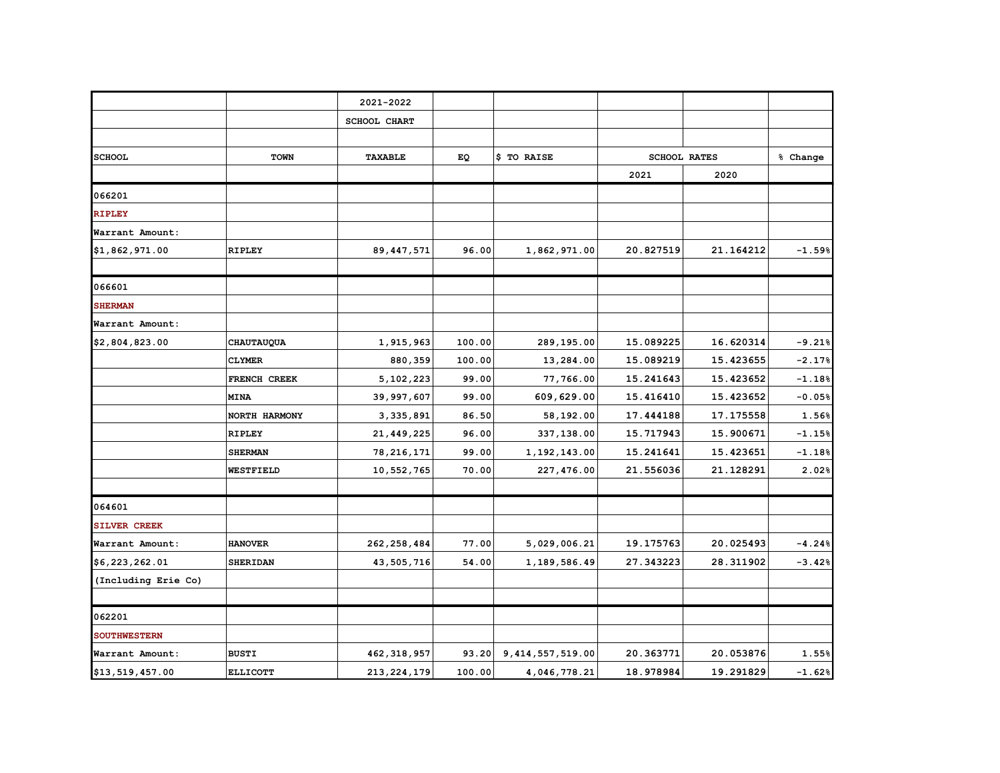|                     |                 | 2021-2022           |        |                     |           |                     |          |
|---------------------|-----------------|---------------------|--------|---------------------|-----------|---------------------|----------|
|                     |                 | <b>SCHOOL CHART</b> |        |                     |           |                     |          |
|                     |                 |                     |        |                     |           |                     |          |
| <b>SCHOOL</b>       | TOWN            | TAXABLE             | EQ     | \$ TO RAISE         |           | <b>SCHOOL RATES</b> | % Change |
|                     |                 |                     |        |                     | 2021      | 2020                |          |
| 066201              |                 |                     |        |                     |           |                     |          |
| <b>RIPLEY</b>       |                 |                     |        |                     |           |                     |          |
| Warrant Amount:     |                 |                     |        |                     |           |                     |          |
| \$1,862,971.00      | <b>RIPLEY</b>   | 89, 447, 571        | 96.00  | 1,862,971.00        | 20.827519 | 21.164212           | $-1.59%$ |
| 066601              |                 |                     |        |                     |           |                     |          |
| <b>SHERMAN</b>      |                 |                     |        |                     |           |                     |          |
| Warrant Amount:     |                 |                     |        |                     |           |                     |          |
| \$2,804,823.00      | CHAUTAUQUA      | 1,915,963           | 100.00 | 289,195.00          | 15.089225 | 16.620314           | $-9.21%$ |
|                     | <b>CLYMER</b>   | 880,359             | 100.00 | 13,284.00           | 15.089219 | 15.423655           | $-2.17%$ |
|                     | FRENCH CREEK    | 5,102,223           | 99.00  | 77,766.00           | 15.241643 | 15.423652           | $-1.18%$ |
|                     | <b>MINA</b>     | 39,997,607          | 99.00  | 609,629.00          | 15.416410 | 15.423652           | $-0.05%$ |
|                     | NORTH HARMONY   | 3,335,891           | 86.50  | 58,192.00           | 17.444188 | 17.175558           | 1.56%    |
|                     | <b>RIPLEY</b>   | 21,449,225          | 96.00  | 337,138.00          | 15.717943 | 15.900671           | $-1.15%$ |
|                     | <b>SHERMAN</b>  | 78, 216, 171        | 99.00  | 1,192,143.00        | 15.241641 | 15.423651           | $-1.18%$ |
|                     | WESTFIELD       | 10,552,765          | 70.00  | 227,476.00          | 21.556036 | 21.128291           | 2.02%    |
|                     |                 |                     |        |                     |           |                     |          |
| 064601              |                 |                     |        |                     |           |                     |          |
| SILVER CREEK        |                 |                     |        |                     |           |                     |          |
| Warrant Amount:     | <b>HANOVER</b>  | 262, 258, 484       | 77.00  | 5,029,006.21        | 19.175763 | 20.025493           | $-4.24%$ |
| \$6,223,262.01      | <b>SHERIDAN</b> | 43,505,716          | 54.00  | 1,189,586.49        | 27.343223 | 28.311902           | $-3.42%$ |
| (Including Erie Co) |                 |                     |        |                     |           |                     |          |
|                     |                 |                     |        |                     |           |                     |          |
| 062201              |                 |                     |        |                     |           |                     |          |
| <b>SOUTHWESTERN</b> |                 |                     |        |                     |           |                     |          |
| Warrant Amount:     | <b>BUSTI</b>    | 462, 318, 957       | 93.20  | 9, 414, 557, 519.00 | 20.363771 | 20.053876           | 1.55%    |
| \$13,519,457.00     | <b>ELLICOTT</b> | 213, 224, 179       | 100.00 | 4,046,778.21        | 18.978984 | 19.291829           | $-1.62%$ |